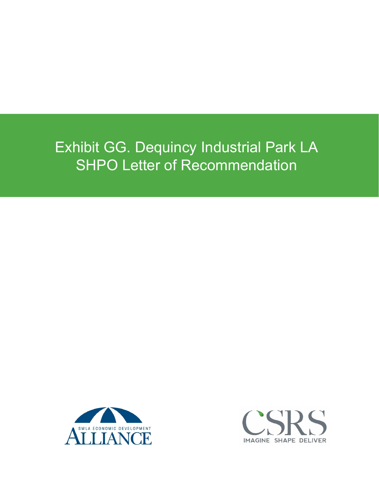## Exhibit GG. Dequincy Industrial Park LA SHPO Letter of Recommendation